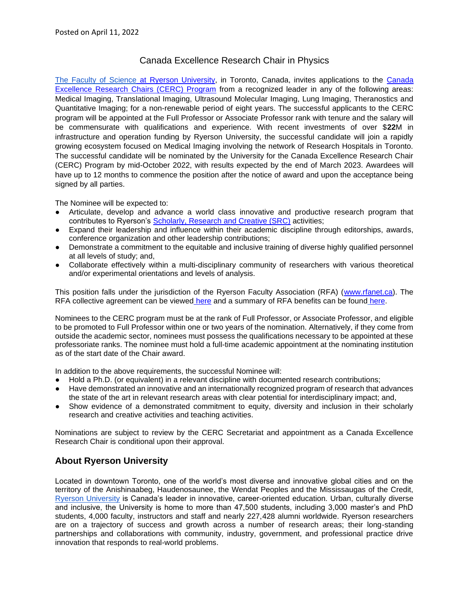## Canada Excellence Research Chair in Physics

[The Faculty of Science](http://www.ryerson.ca/fos) at [Ryerson University,](https://www.ryerson.ca/) in Toronto, Canada, invites applications to the Canada [Excellence Research Chairs \(CERC\) Program](https://www.cerc.gc.ca/program-programme/cpan-pccs-eng.aspx) from a recognized leader in any of the following areas: Medical Imaging, Translational Imaging, Ultrasound Molecular Imaging, Lung Imaging, Theranostics and Quantitative Imaging; for a non-renewable period of eight years. The successful applicants to the CERC program will be appointed at the Full Professor or Associate Professor rank with tenure and the salary will be commensurate with qualifications and experience. With recent investments of over \$**22**M in infrastructure and operation funding by Ryerson University, the successful candidate will join a rapidly growing ecosystem focused on Medical Imaging involving the network of Research Hospitals in Toronto. The successful candidate will be nominated by the University for the Canada Excellence Research Chair (CERC) Program by mid-October 2022, with results expected by the end of March 2023. Awardees will have up to 12 months to commence the position after the notice of award and upon the acceptance being signed by all parties.

The Nominee will be expected to:

- Articulate, develop and advance a world class innovative and productive research program that contributes to Ryerson's [Scholarly, Research and Creative \(SRC\)](https://www.ryerson.ca/research/) activities;
- Expand their leadership and influence within their academic discipline through editorships, awards, conference organization and other leadership contributions;
- Demonstrate a commitment to the equitable and inclusive training of diverse highly qualified personnel at all levels of study; and,
- Collaborate effectively within a multi-disciplinary community of researchers with various theoretical and/or experimental orientations and levels of analysis.

This position falls under the jurisdiction of the Ryerson Faculty Association (RFA) [\(www.rfanet.ca\)](http://www.rfanet.ca/). The RFA collective agreement can be viewed [here](https://www.ryerson.ca/faculty-affairs/documents-forms/collective-agreements/rfa-collective-agreement/) and a summary of RFA benefits can be found [here.](https://www.ryerson.ca/human-resources/rfa-full-time-LTF/)

Nominees to the CERC program must be at the rank of Full Professor, or Associate Professor, and eligible to be promoted to Full Professor within one or two years of the nomination. Alternatively, if they come from outside the academic sector, nominees must possess the qualifications necessary to be appointed at these professoriate ranks. The nominee must hold a full-time academic appointment at the nominating institution as of the start date of the Chair award.

In addition to the above requirements, the successful Nominee will:

- Hold a Ph.D. (or equivalent) in a relevant discipline with documented research contributions;
- Have demonstrated an innovative and an internationally recognized program of research that advances the state of the art in relevant research areas with clear potential for interdisciplinary impact; and,
- Show evidence of a demonstrated commitment to equity, diversity and inclusion in their scholarly research and creative activities and teaching activities.

Nominations are subject to review by the CERC Secretariat and appointment as a Canada Excellence Research Chair is conditional upon their approval.

### **About Ryerson University**

Located in downtown Toronto, one of the world's most diverse and innovative global cities and on the territory of the Anishinaabeg, Haudenosaunee, the Wendat Peoples and the Mississaugas of the Credit, [Ryerson University](http://www.ryerson.ca/) is Canada's leader in innovative, career-oriented education. Urban, culturally diverse and inclusive, the University is home to more than 47,500 students, including 3,000 master's and PhD students, 4,000 faculty, instructors and staff and nearly 227,428 alumni worldwide. Ryerson researchers are on a trajectory of success and growth across a number of research areas; their long-standing partnerships and collaborations with community, industry, government, and professional practice drive innovation that responds to real-world problems.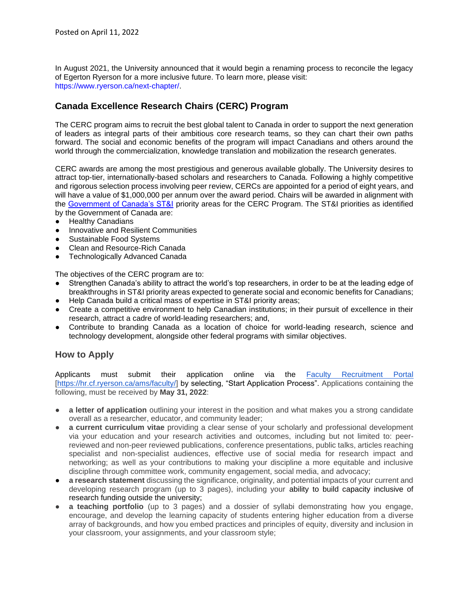In August 2021, the University announced that it would begin a renaming process to reconcile the legacy of Egerton Ryerson for a more inclusive future. To learn more, please visit: [https://www.ryerson.ca/next-chapter/.](https://www.ryerson.ca/next-chapter/)

# **Canada Excellence Research Chairs (CERC) Program**

The CERC program aims to recruit the best global talent to Canada in order to support the next generation of leaders as integral parts of their ambitious core research teams, so they can chart their own paths forward. The social and economic benefits of the program will impact Canadians and others around the world through the commercialization, knowledge translation and mobilization the research generates.

CERC awards are among the most prestigious and generous available globally. The University desires to attract top-tier, internationally-based scholars and researchers to Canada. Following a highly competitive and rigorous selection process involving peer review, CERCs are appointed for a period of eight years, and will have a value of \$1,000,000 per annum over the award period. Chairs will be awarded in alignment with the [Government of Canada's ST&I](https://www.cerc.gc.ca/program-programme/priority_areas-domaines_prioritaires-eng.aspx) priority areas for the CERC Program. The ST&I priorities as identified by the Government of Canada are:

- Healthy Canadians
- Innovative and Resilient Communities
- Sustainable Food Systems
- **Clean and Resource-Rich Canada**
- **Technologically Advanced Canada**

The objectives of the CERC program are to:

- Strengthen Canada's ability to attract the world's top researchers, in order to be at the leading edge of breakthroughs in ST&I priority areas expected to generate social and economic benefits for Canadians;
- Help Canada build a critical mass of expertise in ST&I priority areas;
- Create a competitive environment to help Canadian institutions; in their pursuit of excellence in their research, attract a cadre of world-leading researchers; and,
- Contribute to branding Canada as a location of choice for world-leading research, science and technology development, alongside other federal programs with similar objectives.

#### **How to Apply**

Applicants must submit their application online via the [Faculty Recruitment Portal](https://hr.cf.ryerson.ca/ams/faculty/)  [\[https://hr.cf.ryerson.ca/ams/faculty/\]](https://hr.cf.ryerson.ca/ams/faculty/) by selecting, "Start Application Process". Applications containing the following, must be received by **May 31, 2022**:

- **a letter of application** outlining your interest in the position and what makes you a strong candidate overall as a researcher, educator, and community leader;
- **a current curriculum vitae** providing a clear sense of your scholarly and professional development via your education and your research activities and outcomes, including but not limited to: peerreviewed and non-peer reviewed publications, conference presentations, public talks, articles reaching specialist and non-specialist audiences, effective use of social media for research impact and networking; as well as your contributions to making your discipline a more equitable and inclusive discipline through committee work, community engagement, social media, and advocacy;
- **a research statement** discussing the significance, originality, and potential impacts of your current and developing research program (up to 3 pages), including your ability to build capacity inclusive of research funding outside the university;
- a **teaching portfolio** (up to 3 pages) and a dossier of syllabi demonstrating how you engage, encourage, and develop the learning capacity of students entering higher education from a diverse array of backgrounds, and how you embed practices and principles of equity, diversity and inclusion in your classroom, your assignments, and your classroom style;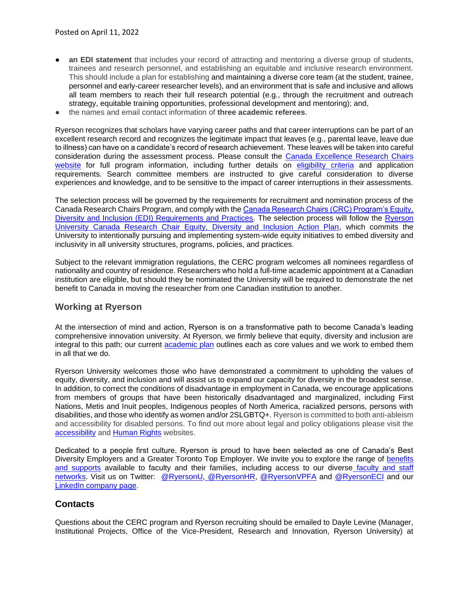- **an EDI statement** that includes your record of attracting and mentoring a diverse group of students, trainees and research personnel, and establishing an equitable and inclusive research environment. This should include a plan for establishing and maintaining a diverse core team (at the student, trainee, personnel and early-career researcher levels), and an environment that is safe and inclusive and allows all team members to reach their full research potential (e.g., through the recruitment and outreach strategy, equitable training opportunities, professional development and mentoring); and,
- the names and email contact information of **three academic referees**.

Ryerson recognizes that scholars have varying career paths and that career interruptions can be part of an excellent research record and recognizes the legitimate impact that leaves (e.g., parental leave, leave due to illness) can have on a candidate's record of research achievement. These leaves will be taken into careful consideration during the assessment process. Please consult the [Canada Excellence Research Chairs](https://www.cerc.gc.ca/program-programme/cpan-pccs-eng.aspx)  [website](https://www.cerc.gc.ca/program-programme/cpan-pccs-eng.aspx) for full program information, including further details on [eligibility criteria](https://www.cerc.gc.ca/program-programme/cpan-pccs-eng.aspx#6) and application requirements. Search committee members are instructed to give careful consideration to diverse experiences and knowledge, and to be sensitive to the impact of career interruptions in their assessments.

The selection process will be governed by the requirements for recruitment and nomination process of the Canada Research Chairs Program, and comply with th[e Canada Research Chairs \(CRC\) Program's Equity,](https://www.chairs-chaires.gc.ca/program-programme/equity-equite/index-eng.aspx)  [Diversity and Inclusion \(EDI\) Requirements and Practices.](https://www.chairs-chaires.gc.ca/program-programme/equity-equite/index-eng.aspx) The selection process will follow the Ryerson [University Canada Research Chair Equity, Diversity and Inclusion Action Plan,](https://www.ryerson.ca/content/dam/research/documents/crcallocation/CRCEquityActionPlan_final_12.15.2017.pdf) which commits the University to intentionally pursuing and implementing system-wide equity initiatives to embed diversity and inclusivity in all university structures, programs, policies, and practices.

Subject to the relevant immigration regulations, the CERC program welcomes all nominees regardless of nationality and country of residence. Researchers who hold a full-time academic appointment at a Canadian institution are eligible, but should they be nominated the University will be required to demonstrate the net benefit to Canada in moving the researcher from one Canadian institution to another.

#### **Working at Ryerson**

At the intersection of mind and action, Ryerson is on a transformative path to become Canada's leading comprehensive innovation university. At Ryerson, we firmly believe that equity, diversity and inclusion are integral to this path; our current [academic plan](https://www.ryerson.ca/provost/strategic-plans/academic-plan/) outlines each as core values and we work to embed them in all that we do.

Ryerson University welcomes those who have demonstrated a commitment to upholding the values of equity, diversity, and inclusion and will assist us to expand our capacity for diversity in the broadest sense. In addition, to correct the conditions of disadvantage in employment in Canada, we encourage applications from members of groups that have been historically disadvantaged and marginalized, including First Nations, Metis and Inuit peoples, Indigenous peoples of North America, racialized persons, persons with disabilities, and those who identify as women and/or 2SLGBTQ+. Ryerson is committed to both anti-ableism and accessibility for disabled persons. To find out more about legal and policy obligations please visit the [accessibility](https://www.ryerson.ca/accessibility/) and [Human Rights](https://www.ryerson.ca/humanrights/) websites.

Dedicated to a people first culture, Ryerson is proud to have been selected as one of Canada's Best Diversity Employers and a Greater Toronto Top Employer. We invite you to explore the range of [benefits](https://www.ryerson.ca/faculty-affairs/faculty-resources/recruitment/information-for-candidates/)  [and supports](https://www.ryerson.ca/faculty-affairs/faculty-resources/recruitment/information-for-candidates/) available to faculty and their families, including access to our diverse [faculty and staff](https://www.ryerson.ca/equity/community-networks-committees/)  [networks.](https://www.ryerson.ca/equity/community-networks-committees/) Visit us on Twitter: [@RyersonU,](https://twitter.com/RyersonU?ref_src=twsrc%5Egoogle%7Ctwcamp%5Eserp%7Ctwgr%5Eauthor) [@RyersonHR,](https://twitter.com/ryersonhr?lang=en) [@RyersonVPFA](https://twitter.com/RyersonVPFA) and [@RyersonECI](https://twitter.com/ryersoneci?lang=en) and ou[r](https://ca.linkedin.com/school/ryerson-university/) [LinkedIn company page.](https://ca.linkedin.com/school/ryerson-university/)

#### **Contacts**

Questions about the CERC program and Ryerson recruiting should be emailed to Dayle Levine (Manager, Institutional Projects, Office of the Vice-President, Research and Innovation, Ryerson University) at